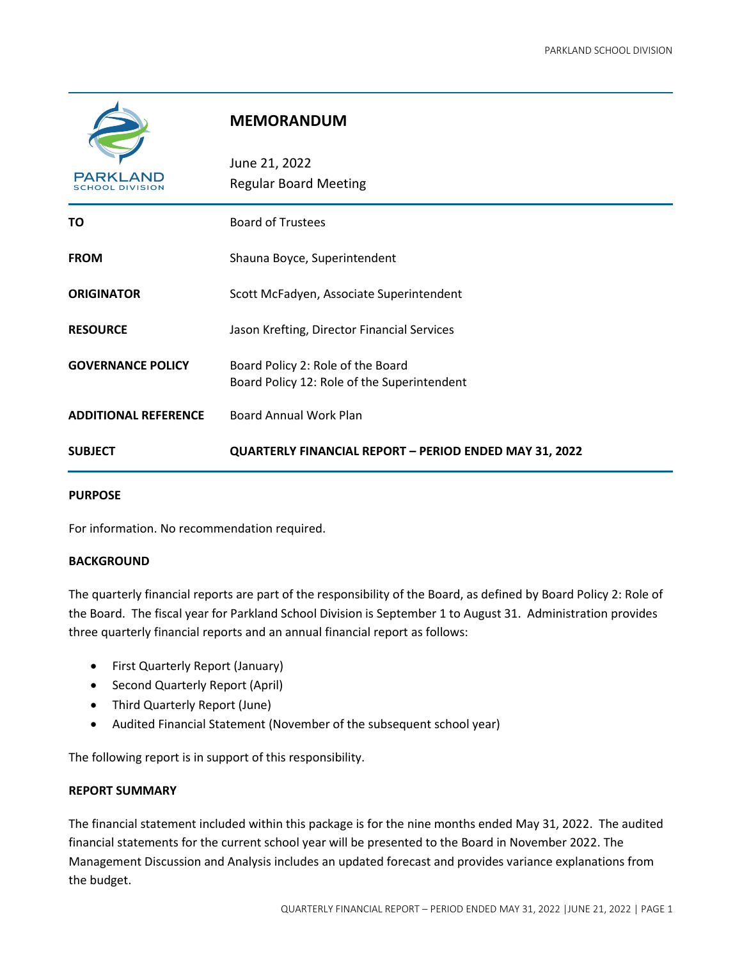

## **MEMORANDUM**

| PARKLAND<br><b>SCHOOL DIVISION</b> | June 21, 2022<br><b>Regular Board Meeting</b>                                    |
|------------------------------------|----------------------------------------------------------------------------------|
| ΤО                                 | <b>Board of Trustees</b>                                                         |
| <b>FROM</b>                        | Shauna Boyce, Superintendent                                                     |
| <b>ORIGINATOR</b>                  | Scott McFadyen, Associate Superintendent                                         |
| <b>RESOURCE</b>                    | Jason Krefting, Director Financial Services                                      |
| <b>GOVERNANCE POLICY</b>           | Board Policy 2: Role of the Board<br>Board Policy 12: Role of the Superintendent |
| <b>ADDITIONAL REFERENCE</b>        | <b>Board Annual Work Plan</b>                                                    |
| <b>SUBJECT</b>                     | QUARTERLY FINANCIAL REPORT - PERIOD ENDED MAY 31, 2022                           |

#### **PURPOSE**

For information. No recommendation required.

#### **BACKGROUND**

The quarterly financial reports are part of the responsibility of the Board, as defined by Board Policy 2: Role of the Board. The fiscal year for Parkland School Division is September 1 to August 31. Administration provides three quarterly financial reports and an annual financial report as follows:

- First Quarterly Report (January)
- Second Quarterly Report (April)
- Third Quarterly Report (June)
- Audited Financial Statement (November of the subsequent school year)

The following report is in support of this responsibility.

#### **REPORT SUMMARY**

The financial statement included within this package is for the nine months ended May 31, 2022. The audited financial statements for the current school year will be presented to the Board in November 2022. The Management Discussion and Analysis includes an updated forecast and provides variance explanations from the budget.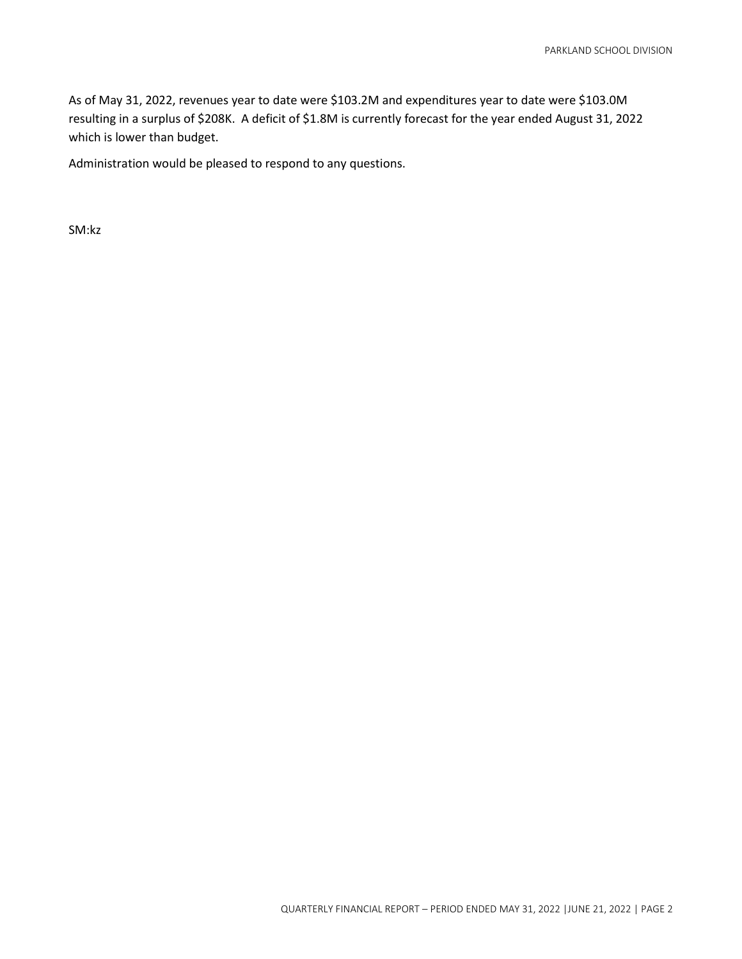As of May 31, 2022, revenues year to date were \$103.2M and expenditures year to date were \$103.0M resulting in a surplus of \$208K. A deficit of \$1.8M is currently forecast for the year ended August 31, 2022 which is lower than budget.

Administration would be pleased to respond to any questions.

SM:kz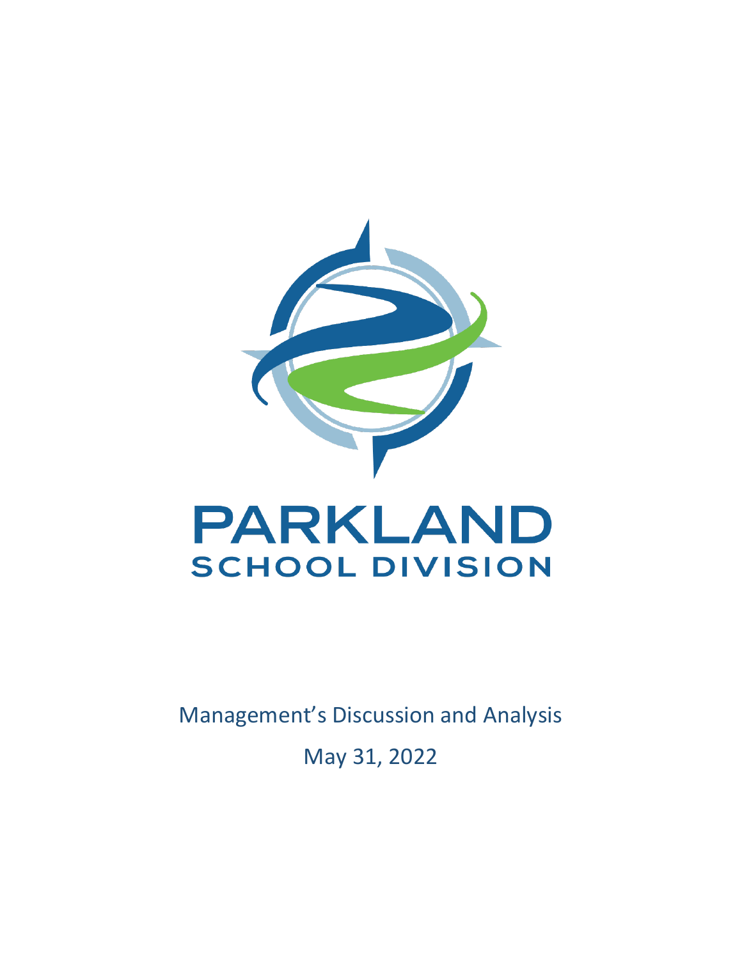

Management's Discussion and Analysis

May 31, 2022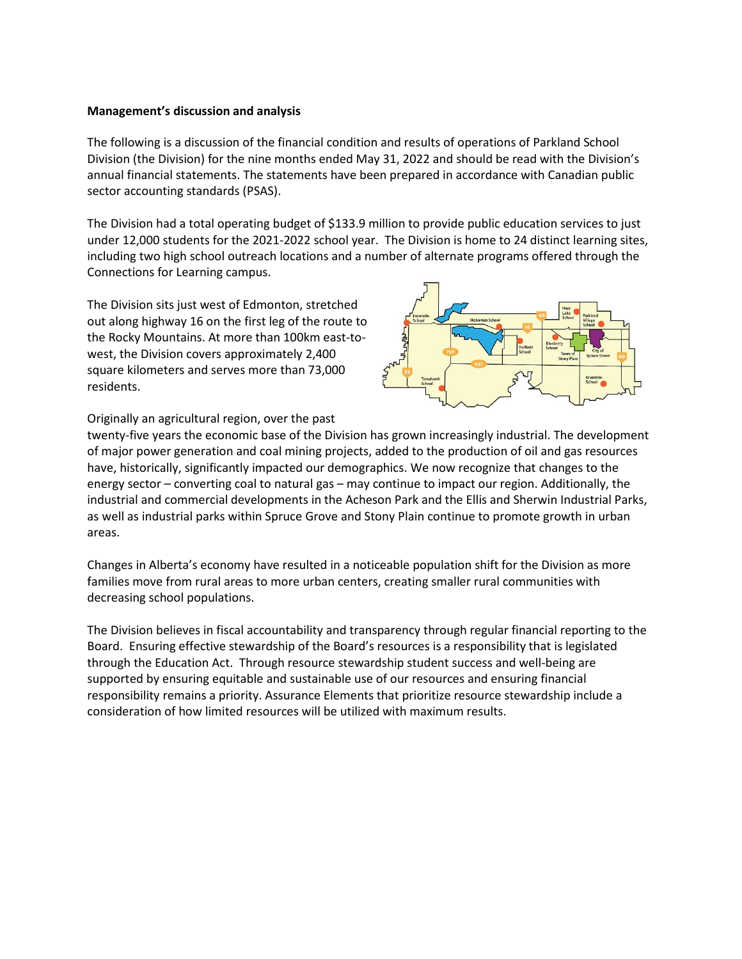#### **Management's discussion and analysis**

The following is a discussion of the financial condition and results of operations of Parkland School Division (the Division) for the nine months ended May 31, 2022 and should be read with the Division's annual financial statements. The statements have been prepared in accordance with Canadian public sector accounting standards (PSAS).

The Division had a total operating budget of \$133.9 million to provide public education services to just under 12,000 students for the 2021-2022 school year. The Division is home to 24 distinct learning sites, including two high school outreach locations and a number of alternate programs offered through the Connections for Learning campus.

The Division sits just west of Edmonton, stretched out along highway 16 on the first leg of the route to the Rocky Mountains. At more than 100km east-towest, the Division covers approximately 2,400 square kilometers and serves more than 73,000 residents.



Originally an agricultural region, over the past

twenty-five years the economic base of the Division has grown increasingly industrial. The development of major power generation and coal mining projects, added to the production of oil and gas resources have, historically, significantly impacted our demographics. We now recognize that changes to the energy sector – converting coal to natural gas – may continue to impact our region. Additionally, the industrial and commercial developments in the Acheson Park and the Ellis and Sherwin Industrial Parks, as well as industrial parks within Spruce Grove and Stony Plain continue to promote growth in urban areas.

Changes in Alberta's economy have resulted in a noticeable population shift for the Division as more families move from rural areas to more urban centers, creating smaller rural communities with decreasing school populations.

The Division believes in fiscal accountability and transparency through regular financial reporting to the Board. Ensuring effective stewardship of the Board's resources is a responsibility that is legislated through the Education Act. Through resource stewardship student success and well-being are supported by ensuring equitable and sustainable use of our resources and ensuring financial responsibility remains a priority. Assurance Elements that prioritize resource stewardship include a consideration of how limited resources will be utilized with maximum results.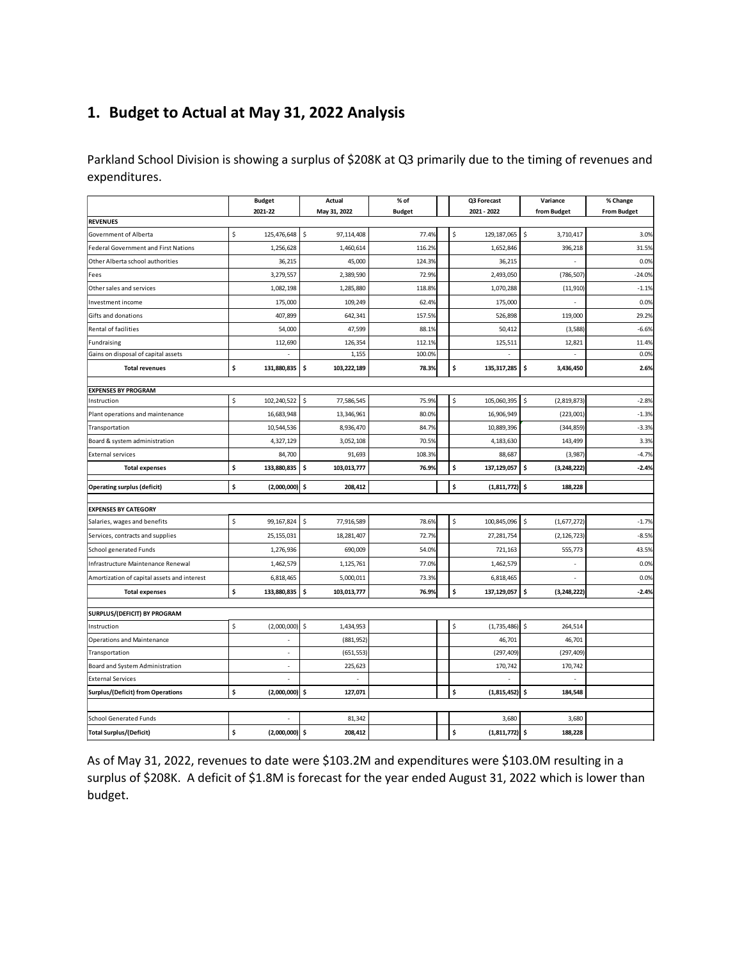## **1. Budget to Actual at May 31, 2022 Analysis**

Parkland School Division is showing a surplus of \$208K at Q3 primarily due to the timing of revenues and expenditures.

|                                             | <b>Budget</b>            | <b>Actual</b>     | % of          | Q3 Forecast            | Variance            | % Change           |
|---------------------------------------------|--------------------------|-------------------|---------------|------------------------|---------------------|--------------------|
| <b>REVENUES</b>                             | 2021-22                  | May 31, 2022      | <b>Budget</b> | 2021 - 2022            | from Budget         | <b>From Budget</b> |
| Government of Alberta                       | 125,476,648 \$<br>Ś      | 97,114,408        | 77.4%         | \$<br>129, 187, 065    | \$<br>3,710,417     | 3.0%               |
| <b>Federal Government and First Nations</b> | 1,256,628                | 1,460,614         | 116.2%        | 1,652,846              | 396,218             | 31.5%              |
| Other Alberta school authorities            | 36,215                   | 45,000            | 124.3%        | 36,215                 |                     | 0.0%               |
| Fees                                        | 3,279,557                | 2,389,590         | 72.9%         | 2,493,050              | (786, 507)          | $-24.0%$           |
| Other sales and services                    | 1,082,198                | 1,285,880         | 118.8%        | 1,070,288              | (11, 910)           | $-1.1%$            |
| Investment income                           | 175,000                  | 109,249           | 62.4%         | 175,000                |                     | 0.0%               |
| Gifts and donations                         | 407,899                  | 642,341           | 157.5%        | 526,898                | 119,000             | 29.2%              |
| Rental of facilities                        | 54,000                   | 47,599            | 88.1%         | 50,412                 | (3,588)             | $-6.6%$            |
| Fundraising                                 | 112,690                  | 126,354           | 112.1%        | 125,511                | 12,821              | 11.4%              |
| Gains on disposal of capital assets         |                          | 1,155             | 100.0%        | $\overline{a}$         |                     | 0.0%               |
| <b>Total revenues</b>                       | \$<br>131,880,835        | \$<br>103,222,189 | 78.3%         | \$<br>135, 317, 285    | \$<br>3,436,450     | 2.6%               |
| <b>EXPENSES BY PROGRAM</b>                  |                          |                   |               |                        |                     |                    |
| Instruction                                 | Ś<br>102,240,522         | \$<br>77,586,545  | 75.9%         | \$<br>105,060,395      | \$<br>(2,819,873)   | $-2.8%$            |
| Plant operations and maintenance            | 16,683,948               | 13,346,961        | 80.0%         | 16,906,949             | (223,001)           | $-1.3%$            |
| Transportation                              | 10,544,536               | 8,936,470         | 84.7%         | 10,889,396             | (344, 859)          | $-3.3%$            |
| Board & system administration               | 4,327,129                | 3,052,108         | 70.5%         | 4,183,630              | 143,499             | 3.3%               |
| <b>External services</b>                    | 84,700                   | 91,693            | 108.3%        | 88,687                 | (3,987)             | $-4.7%$            |
| <b>Total expenses</b>                       | 133,880,835<br>\$        | \$<br>103,013,777 | 76.9%         | \$<br>137,129,057      | \$<br>(3, 248, 222) | $-2.4%$            |
| <b>Operating surplus (deficit)</b>          | \$<br>$(2,000,000)$ \$   | 208,412           |               | \$<br>$(1,811,772)$ \$ | 188,228             |                    |
| <b>EXPENSES BY CATEGORY</b>                 |                          |                   |               |                        |                     |                    |
| Salaries, wages and benefits                | \$<br>99,167,824 \$      | 77,916,589        | 78.6%         | \$<br>100,845,096      | l \$<br>(1,677,272) | $-1.7%$            |
| Services, contracts and supplies            | 25, 155, 031             | 18,281,407        | 72.7%         | 27,281,754             | (2, 126, 723)       | $-8.5%$            |
| School generated Funds                      | 1,276,936                | 690,009           | 54.0%         | 721,163                | 555,773             | 43.5%              |
| Infrastructure Maintenance Renewal          | 1,462,579                | 1,125,761         | 77.0%         | 1,462,579              | L,                  | 0.0%               |
| Amortization of capital assets and interest | 6,818,465                | 5,000,011         | 73.3%         | 6,818,465              |                     | 0.0%               |
| <b>Total expenses</b>                       | \$<br>133,880,835 \$     | 103,013,777       | 76.9%         | \$<br>137,129,057 \$   | (3, 248, 222)       | $-2.4%$            |
| SURPLUS/(DEFICIT) BY PROGRAM                |                          |                   |               |                        |                     |                    |
| Instruction                                 | \$<br>$(2,000,000)$ \$   | 1,434,953         |               | \$<br>$(1,735,486)$ \$ | 264,514             |                    |
| <b>Operations and Maintenance</b>           |                          | (881, 952)        |               | 46,701                 | 46,701              |                    |
| Transportation                              | $\overline{\phantom{m}}$ | (651, 553)        |               | (297, 409)             | (297, 409)          |                    |
| Board and System Administration             |                          | 225,623           |               | 170,742                | 170,742             |                    |
| <b>External Services</b>                    | L,                       | $\overline{a}$    |               | $\overline{a}$         | ٠                   |                    |
| <b>Surplus/(Deficit) from Operations</b>    | \$<br>(2,000,000)        | \$<br>127,071     |               | \$<br>$(1,815,452)$ \$ | 184,548             |                    |
|                                             |                          |                   |               |                        |                     |                    |
| <b>School Generated Funds</b>               |                          | 81,342            |               | 3,680                  | 3,680               |                    |
| <b>Total Surplus/(Deficit)</b>              | \$<br>$(2,000,000)$ \$   | 208,412           |               | \$<br>$(1,811,772)$ \$ | 188,228             |                    |

As of May 31, 2022, revenues to date were \$103.2M and expenditures were \$103.0M resulting in a surplus of \$208K. A deficit of \$1.8M is forecast for the year ended August 31, 2022 which is lower than budget.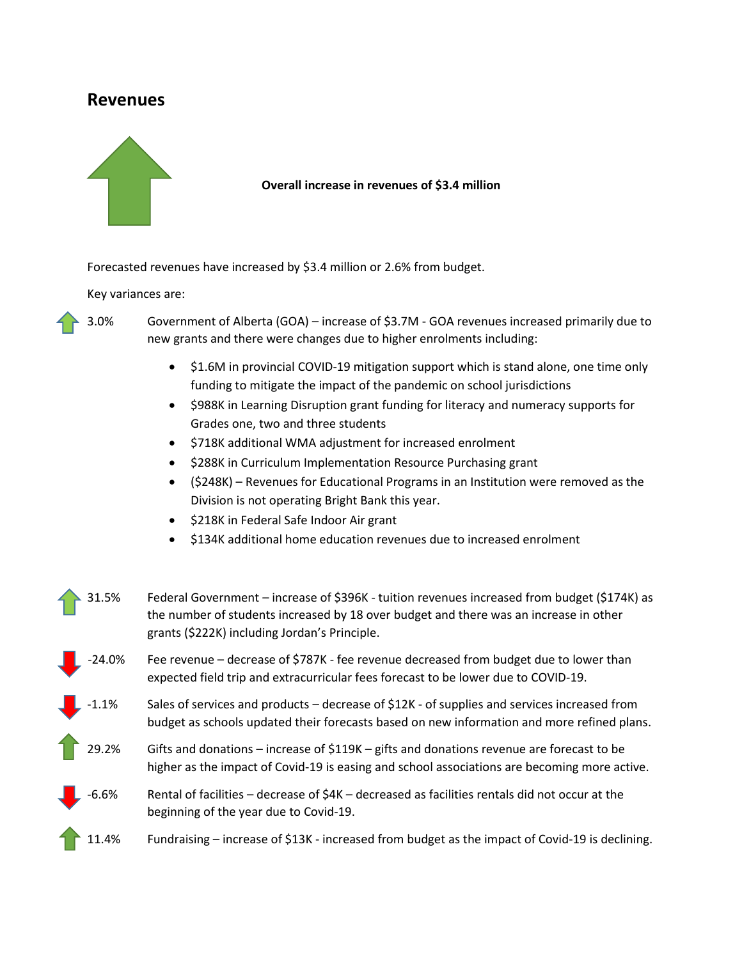## **Revenues**



#### **Overall increase in revenues of \$3.4 million**

Forecasted revenues have increased by \$3.4 million or 2.6% from budget.

Key variances are:

3.0% Government of Alberta (GOA) – increase of \$3.7M - GOA revenues increased primarily due to new grants and there were changes due to higher enrolments including:

- \$1.6M in provincial COVID-19 mitigation support which is stand alone, one time only funding to mitigate the impact of the pandemic on school jurisdictions
- \$988K in Learning Disruption grant funding for literacy and numeracy supports for Grades one, two and three students
- \$718K additional WMA adjustment for increased enrolment
- \$288K in Curriculum Implementation Resource Purchasing grant
- (\$248K) Revenues for Educational Programs in an Institution were removed as the Division is not operating Bright Bank this year.
- \$218K in Federal Safe Indoor Air grant
- \$134K additional home education revenues due to increased enrolment

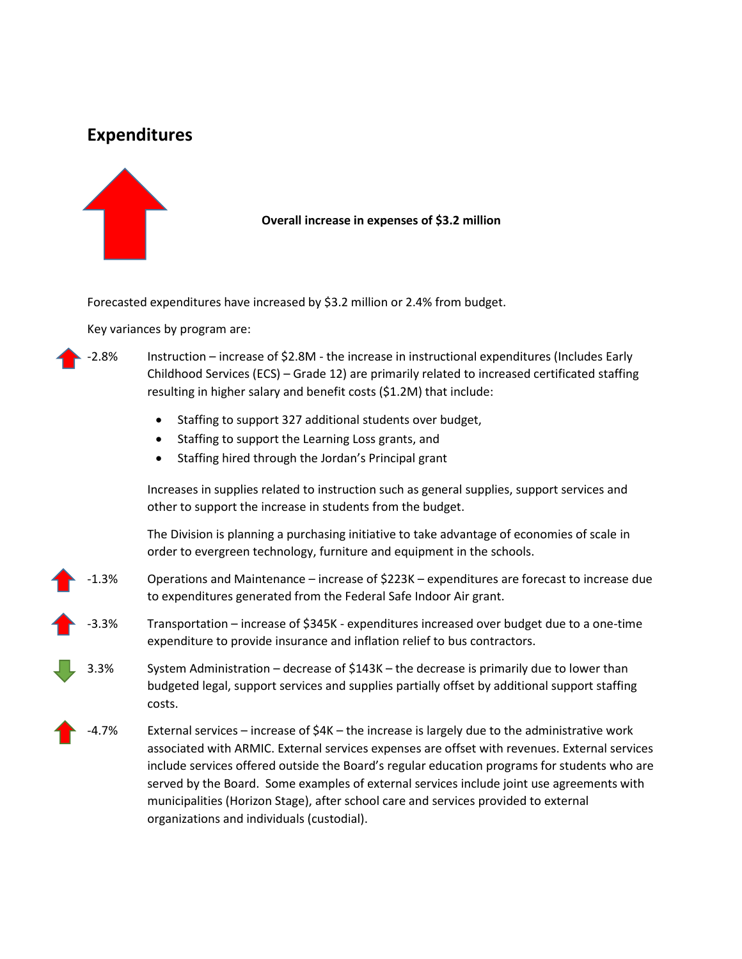# **Expenditures**



**Overall increase in expenses of \$3.2 million**

Forecasted expenditures have increased by \$3.2 million or 2.4% from budget.

Key variances by program are:

-2.8% Instruction – increase of \$2.8M - the increase in instructional expenditures (Includes Early Childhood Services (ECS) – Grade 12) are primarily related to increased certificated staffing resulting in higher salary and benefit costs (\$1.2M) that include:

- Staffing to support 327 additional students over budget,
- Staffing to support the Learning Loss grants, and
- Staffing hired through the Jordan's Principal grant

Increases in supplies related to instruction such as general supplies, support services and other to support the increase in students from the budget.

The Division is planning a purchasing initiative to take advantage of economies of scale in order to evergreen technology, furniture and equipment in the schools.

- -1.3% Operations and Maintenance increase of \$223K expenditures are forecast to increase due to expenditures generated from the Federal Safe Indoor Air grant.
- -3.3% Transportation increase of \$345K expenditures increased over budget due to a one-time expenditure to provide insurance and inflation relief to bus contractors.
- 3.3% System Administration decrease of \$143K the decrease is primarily due to lower than budgeted legal, support services and supplies partially offset by additional support staffing costs.
	- -4.7% External services increase of \$4K the increase is largely due to the administrative work associated with ARMIC. External services expenses are offset with revenues. External services include services offered outside the Board's regular education programs for students who are served by the Board. Some examples of external services include joint use agreements with municipalities (Horizon Stage), after school care and services provided to external organizations and individuals (custodial).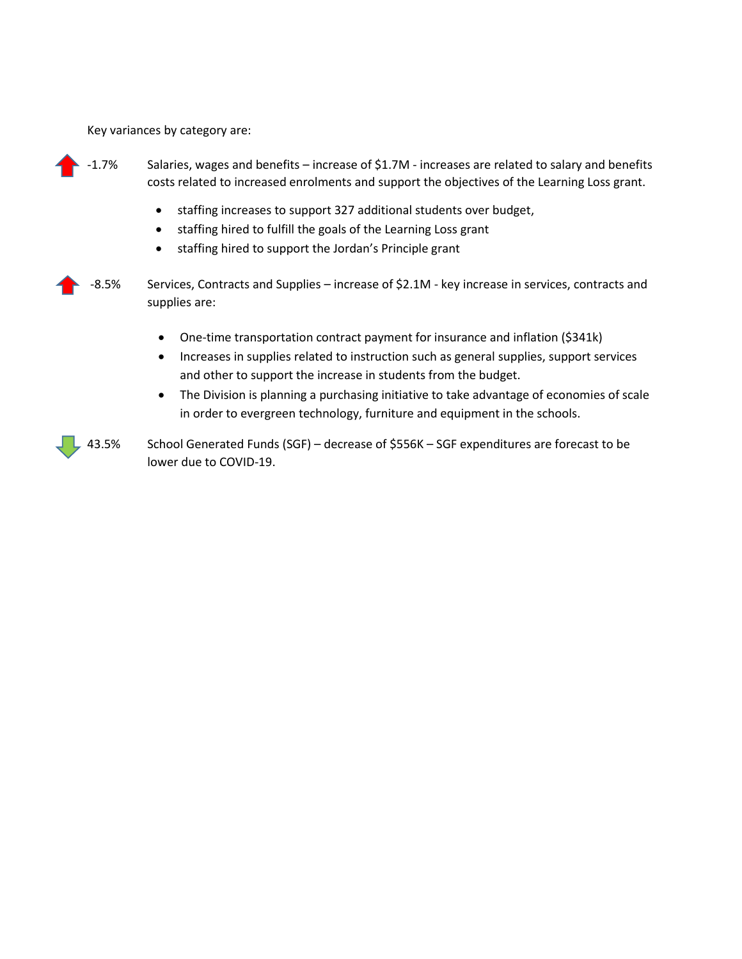Key variances by category are:

- -1.7% Salaries, wages and benefits increase of \$1.7M increases are related to salary and benefits costs related to increased enrolments and support the objectives of the Learning Loss grant.
	- staffing increases to support 327 additional students over budget,
	- staffing hired to fulfill the goals of the Learning Loss grant
	- staffing hired to support the Jordan's Principle grant
- -8.5% Services, Contracts and Supplies increase of \$2.1M key increase in services, contracts and supplies are:
	- One-time transportation contract payment for insurance and inflation (\$341k)
	- Increases in supplies related to instruction such as general supplies, support services and other to support the increase in students from the budget.
	- The Division is planning a purchasing initiative to take advantage of economies of scale in order to evergreen technology, furniture and equipment in the schools.

43.5% School Generated Funds (SGF) – decrease of \$556K – SGF expenditures are forecast to be lower due to COVID-19.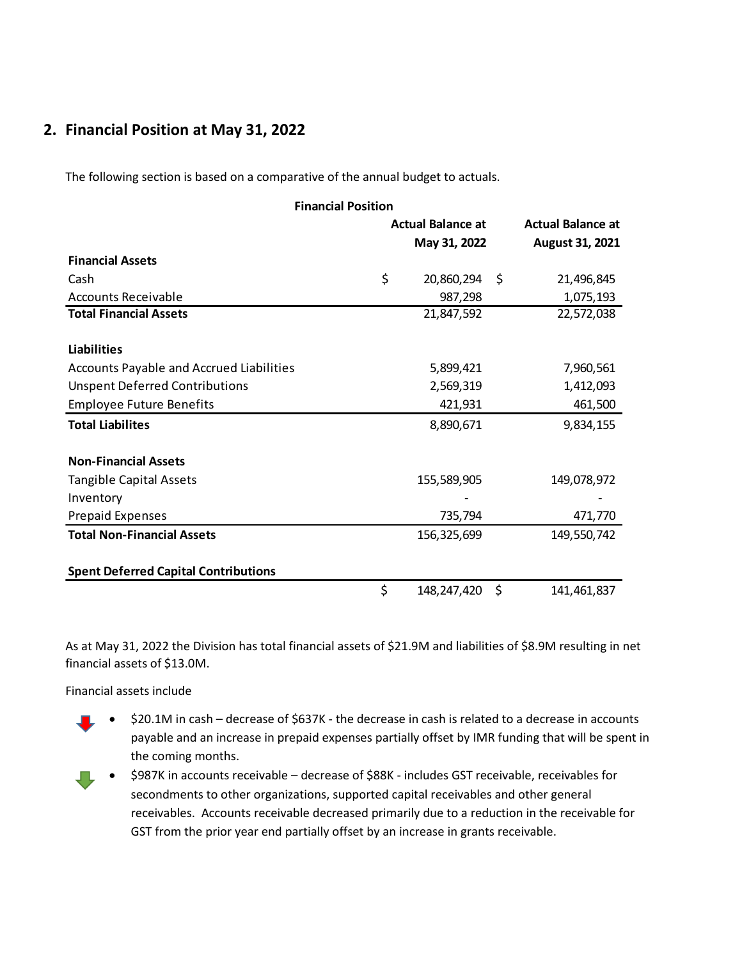## **2. Financial Position at May 31, 2022**

The following section is based on a comparative of the annual budget to actuals.

| <b>Financial Position</b>                       |    |                          |                          |  |  |  |  |  |  |  |
|-------------------------------------------------|----|--------------------------|--------------------------|--|--|--|--|--|--|--|
|                                                 |    | <b>Actual Balance at</b> | <b>Actual Balance at</b> |  |  |  |  |  |  |  |
|                                                 |    | May 31, 2022             | <b>August 31, 2021</b>   |  |  |  |  |  |  |  |
| <b>Financial Assets</b>                         |    |                          |                          |  |  |  |  |  |  |  |
| Cash                                            | \$ | 20,860,294<br>\$         | 21,496,845               |  |  |  |  |  |  |  |
| <b>Accounts Receivable</b>                      |    | 987,298                  | 1,075,193                |  |  |  |  |  |  |  |
| <b>Total Financial Assets</b>                   |    | 21,847,592               | 22,572,038               |  |  |  |  |  |  |  |
|                                                 |    |                          |                          |  |  |  |  |  |  |  |
| <b>Liabilities</b>                              |    |                          |                          |  |  |  |  |  |  |  |
| <b>Accounts Payable and Accrued Liabilities</b> |    | 5,899,421                | 7,960,561                |  |  |  |  |  |  |  |
| <b>Unspent Deferred Contributions</b>           |    | 2,569,319                | 1,412,093                |  |  |  |  |  |  |  |
| <b>Employee Future Benefits</b>                 |    | 421,931                  | 461,500                  |  |  |  |  |  |  |  |
| <b>Total Liabilites</b>                         |    | 8,890,671                | 9,834,155                |  |  |  |  |  |  |  |
|                                                 |    |                          |                          |  |  |  |  |  |  |  |
| <b>Non-Financial Assets</b>                     |    |                          |                          |  |  |  |  |  |  |  |
| <b>Tangible Capital Assets</b>                  |    | 155,589,905              | 149,078,972              |  |  |  |  |  |  |  |
| Inventory                                       |    |                          |                          |  |  |  |  |  |  |  |
| <b>Prepaid Expenses</b>                         |    | 735,794                  | 471,770                  |  |  |  |  |  |  |  |
| <b>Total Non-Financial Assets</b>               |    | 156,325,699              | 149,550,742              |  |  |  |  |  |  |  |
|                                                 |    |                          |                          |  |  |  |  |  |  |  |
| <b>Spent Deferred Capital Contributions</b>     |    |                          |                          |  |  |  |  |  |  |  |
|                                                 | \$ | 148, 247, 420<br>\$      | 141,461,837              |  |  |  |  |  |  |  |

As at May 31, 2022 the Division has total financial assets of \$21.9M and liabilities of \$8.9M resulting in net financial assets of \$13.0M.

Financial assets include

- \$20.1M in cash decrease of \$637K the decrease in cash is related to a decrease in accounts payable and an increase in prepaid expenses partially offset by IMR funding that will be spent in the coming months.
- \$987K in accounts receivable decrease of \$88K includes GST receivable, receivables for secondments to other organizations, supported capital receivables and other general receivables. Accounts receivable decreased primarily due to a reduction in the receivable for GST from the prior year end partially offset by an increase in grants receivable.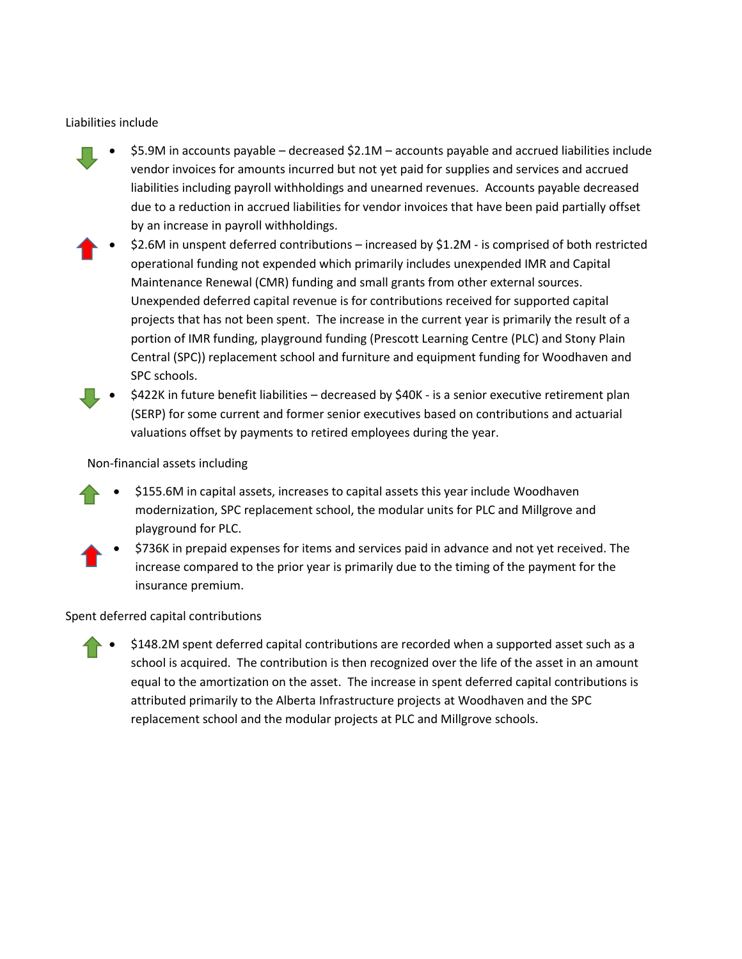## Liabilities include

- \$5.9M in accounts payable decreased \$2.1M accounts payable and accrued liabilities include vendor invoices for amounts incurred but not yet paid for supplies and services and accrued liabilities including payroll withholdings and unearned revenues. Accounts payable decreased due to a reduction in accrued liabilities for vendor invoices that have been paid partially offset by an increase in payroll withholdings.
- \$2.6M in unspent deferred contributions increased by \$1.2M is comprised of both restricted operational funding not expended which primarily includes unexpended IMR and Capital Maintenance Renewal (CMR) funding and small grants from other external sources. Unexpended deferred capital revenue is for contributions received for supported capital projects that has not been spent. The increase in the current year is primarily the result of a portion of IMR funding, playground funding (Prescott Learning Centre (PLC) and Stony Plain Central (SPC)) replacement school and furniture and equipment funding for Woodhaven and SPC schools.
- \$422K in future benefit liabilities decreased by \$40K is a senior executive retirement plan (SERP) for some current and former senior executives based on contributions and actuarial valuations offset by payments to retired employees during the year.

## Non-financial assets including

- \$155.6M in capital assets, increases to capital assets this year include Woodhaven modernization, SPC replacement school, the modular units for PLC and Millgrove and playground for PLC.
- \$736K in prepaid expenses for items and services paid in advance and not yet received. The increase compared to the prior year is primarily due to the timing of the payment for the insurance premium.

### Spent deferred capital contributions

• \$148.2M spent deferred capital contributions are recorded when a supported asset such as a school is acquired. The contribution is then recognized over the life of the asset in an amount equal to the amortization on the asset. The increase in spent deferred capital contributions is attributed primarily to the Alberta Infrastructure projects at Woodhaven and the SPC replacement school and the modular projects at PLC and Millgrove schools.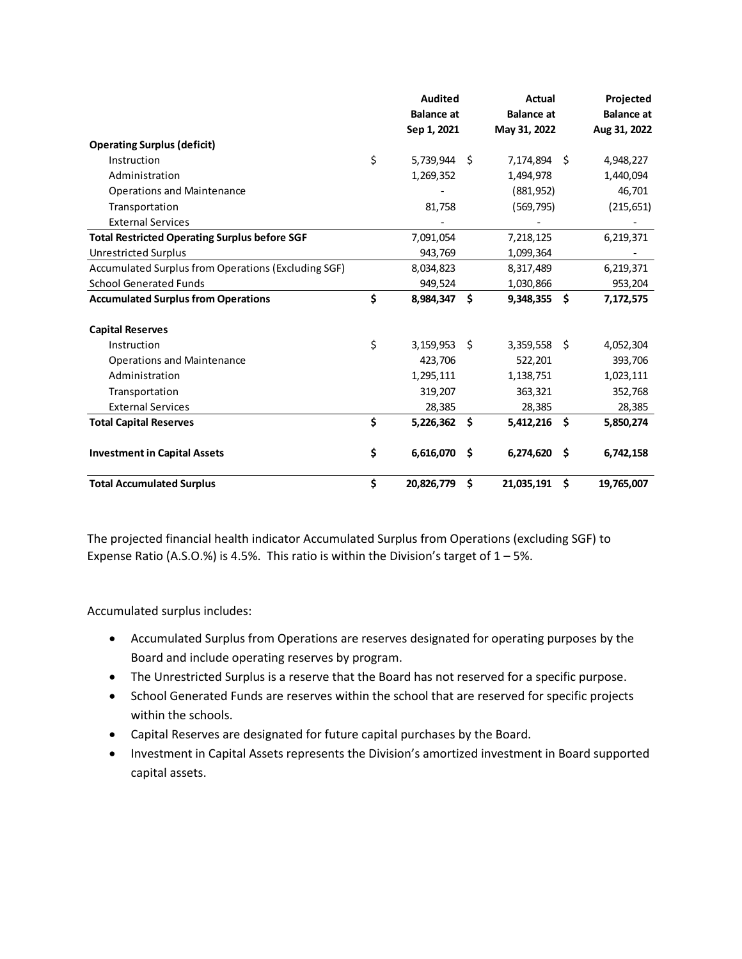|                                                      | <b>Audited</b>     |     | <b>Actual</b>     |     | Projected         |
|------------------------------------------------------|--------------------|-----|-------------------|-----|-------------------|
|                                                      | <b>Balance</b> at  |     | <b>Balance</b> at |     | <b>Balance at</b> |
|                                                      | Sep 1, 2021        |     | May 31, 2022      |     | Aug 31, 2022      |
| <b>Operating Surplus (deficit)</b>                   |                    |     |                   |     |                   |
| Instruction                                          | \$<br>5,739,944 \$ |     | 7,174,894 \$      |     | 4,948,227         |
| Administration                                       | 1,269,352          |     | 1,494,978         |     | 1,440,094         |
| <b>Operations and Maintenance</b>                    |                    |     | (881,952)         |     | 46,701            |
| Transportation                                       | 81,758             |     | (569, 795)        |     | (215, 651)        |
| <b>External Services</b>                             |                    |     |                   |     |                   |
| <b>Total Restricted Operating Surplus before SGF</b> | 7,091,054          |     | 7,218,125         |     | 6,219,371         |
| <b>Unrestricted Surplus</b>                          | 943,769            |     | 1,099,364         |     |                   |
| Accumulated Surplus from Operations (Excluding SGF)  | 8,034,823          |     | 8,317,489         |     | 6,219,371         |
| <b>School Generated Funds</b>                        | 949,524            |     | 1,030,866         |     | 953,204           |
| <b>Accumulated Surplus from Operations</b>           | \$<br>8,984,347    | Ŝ.  | 9,348,355         | Ŝ.  | 7,172,575         |
| <b>Capital Reserves</b>                              |                    |     |                   |     |                   |
| Instruction                                          | \$<br>3,159,953    | Ŝ   | 3,359,558         | Ŝ.  | 4,052,304         |
| <b>Operations and Maintenance</b>                    | 423,706            |     | 522,201           |     | 393,706           |
| Administration                                       | 1,295,111          |     | 1,138,751         |     | 1,023,111         |
| Transportation                                       | 319,207            |     | 363,321           |     | 352,768           |
| <b>External Services</b>                             | 28,385             |     | 28,385            |     | 28,385            |
| <b>Total Capital Reserves</b>                        | \$<br>5,226,362    | Ŝ.  | 5,412,216         | Ŝ.  | 5,850,274         |
| <b>Investment in Capital Assets</b>                  | \$<br>6,616,070    | .\$ | 6,274,620         | \$. | 6,742,158         |
| <b>Total Accumulated Surplus</b>                     | \$<br>20,826,779   | \$  | 21,035,191        | \$  | 19,765,007        |

The projected financial health indicator Accumulated Surplus from Operations (excluding SGF) to Expense Ratio (A.S.O.%) is 4.5%. This ratio is within the Division's target of  $1 - 5$ %.

Accumulated surplus includes:

- Accumulated Surplus from Operations are reserves designated for operating purposes by the Board and include operating reserves by program.
- The Unrestricted Surplus is a reserve that the Board has not reserved for a specific purpose.
- School Generated Funds are reserves within the school that are reserved for specific projects within the schools.
- Capital Reserves are designated for future capital purchases by the Board.
- Investment in Capital Assets represents the Division's amortized investment in Board supported capital assets.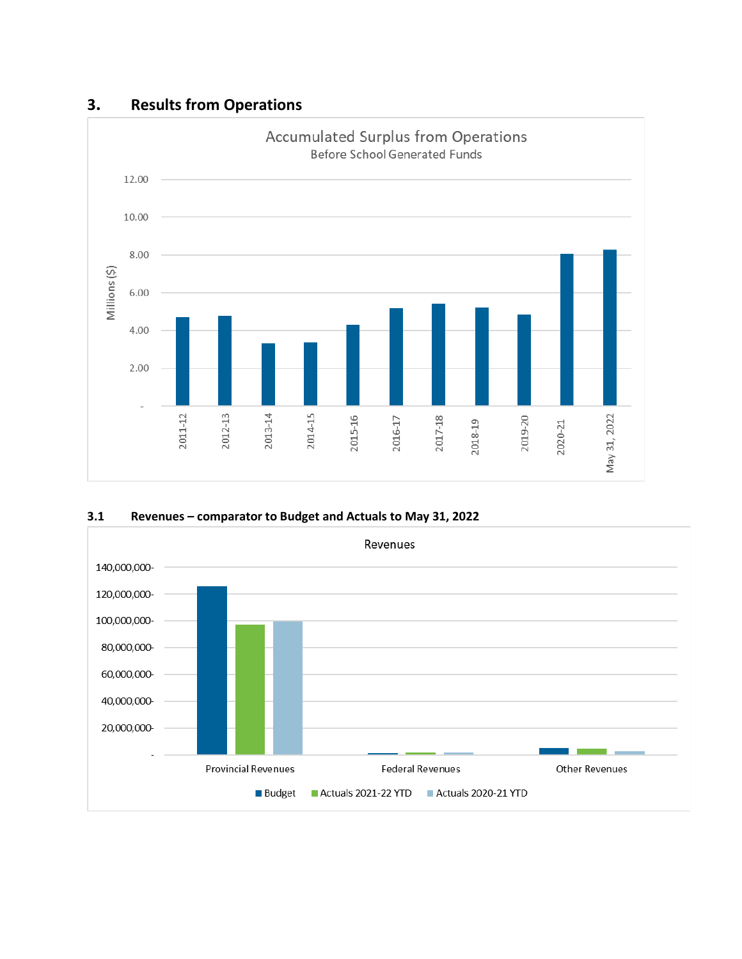





# **3. Results from Operations**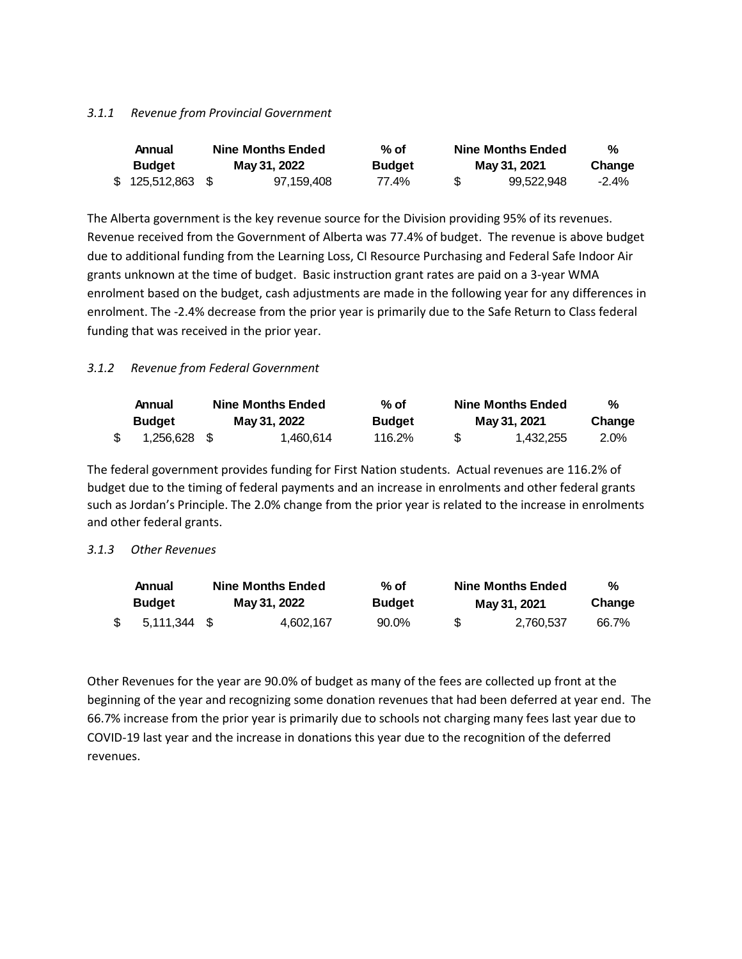### *3.1.1 Revenue from Provincial Government*

| Annual        |     | <b>Nine Months Ended</b> | $%$ of        | <b>Nine Months Ended</b> | %        |
|---------------|-----|--------------------------|---------------|--------------------------|----------|
| <b>Budget</b> |     | May 31, 2022             | <b>Budget</b> | May 31, 2021             | Change   |
| \$125,512,863 | -SG | 97.159.408               | 77.4%         | 99.522.948               | $-2.4\%$ |

The Alberta government is the key revenue source for the Division providing 95% of its revenues. Revenue received from the Government of Alberta was 77.4% of budget. The revenue is above budget due to additional funding from the Learning Loss, CI Resource Purchasing and Federal Safe Indoor Air grants unknown at the time of budget. Basic instruction grant rates are paid on a 3-year WMA enrolment based on the budget, cash adjustments are made in the following year for any differences in enrolment. The -2.4% decrease from the prior year is primarily due to the Safe Return to Class federal funding that was received in the prior year.

## *3.1.2 Revenue from Federal Government*

| Annual<br><b>Budget</b> | <b>Nine Months Ended</b><br>May 31, 2022 | % of<br><b>Budget</b> | <b>Nine Months Ended</b><br>May 31, 2021 | %<br>Change |
|-------------------------|------------------------------------------|-----------------------|------------------------------------------|-------------|
| 1.256.628 \$            | 1.460.614                                | 116.2%                | 1.432.255                                | 2.0%        |

The federal government provides funding for First Nation students. Actual revenues are 116.2% of budget due to the timing of federal payments and an increase in enrolments and other federal grants such as Jordan's Principle. The 2.0% change from the prior year is related to the increase in enrolments and other federal grants.

### *3.1.3 Other Revenues*

| Annual<br><b>Budget</b> | <b>Nine Months Ended</b><br>May 31, 2022 | % of<br><b>Budget</b> |     | <b>Nine Months Ended</b><br>May 31, 2021 | %<br>Change |
|-------------------------|------------------------------------------|-----------------------|-----|------------------------------------------|-------------|
| 5.111.344 \$            | 4.602.167                                | 90.0%                 | \$. | 2.760.537                                | 66.7%       |

Other Revenues for the year are 90.0% of budget as many of the fees are collected up front at the beginning of the year and recognizing some donation revenues that had been deferred at year end. The 66.7% increase from the prior year is primarily due to schools not charging many fees last year due to COVID-19 last year and the increase in donations this year due to the recognition of the deferred revenues.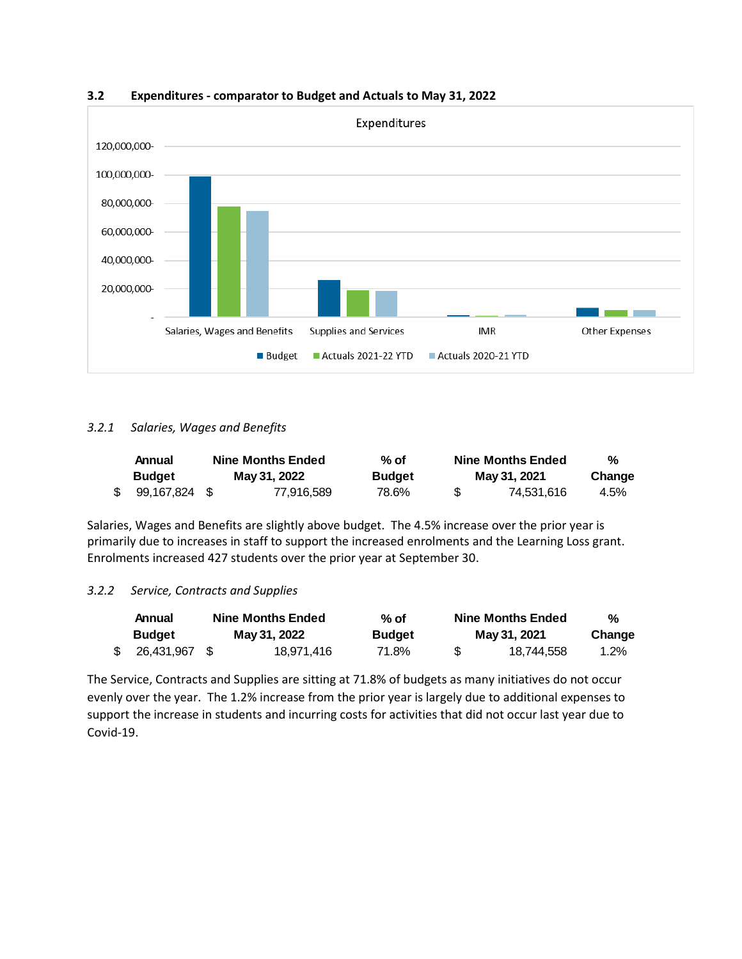

**3.2 Expenditures - comparator to Budget and Actuals to May 31, 2022**

### *3.2.1 Salaries, Wages and Benefits*

| Annual           | <b>Nine Months Ended</b> |              | % of          | <b>Nine Months Ended</b> |              | %      |  |
|------------------|--------------------------|--------------|---------------|--------------------------|--------------|--------|--|
| <b>Budget</b>    |                          | May 31, 2022 | <b>Budget</b> |                          | May 31, 2021 | Change |  |
| $$99.167.824$ \$ |                          | 77.916.589   | 78.6%         | - 35                     | 74.531.616   | 4.5%   |  |

Salaries, Wages and Benefits are slightly above budget. The 4.5% increase over the prior year is primarily due to increases in staff to support the increased enrolments and the Learning Loss grant. Enrolments increased 427 students over the prior year at September 30.

### *3.2.2 Service, Contracts and Supplies*

| Annual           | <b>Nine Months Ended</b> |              | % of          |    | <b>Nine Months Ended</b> |         |  |
|------------------|--------------------------|--------------|---------------|----|--------------------------|---------|--|
| <b>Budget</b>    |                          | May 31, 2022 | <b>Budget</b> |    | May 31, 2021             | Change  |  |
| $$26,431,967$ \$ |                          | 18.971.416   | 71.8%         | S. | 18.744.558               | $1.2\%$ |  |

The Service, Contracts and Supplies are sitting at 71.8% of budgets as many initiatives do not occur evenly over the year. The 1.2% increase from the prior year is largely due to additional expenses to support the increase in students and incurring costs for activities that did not occur last year due to Covid-19.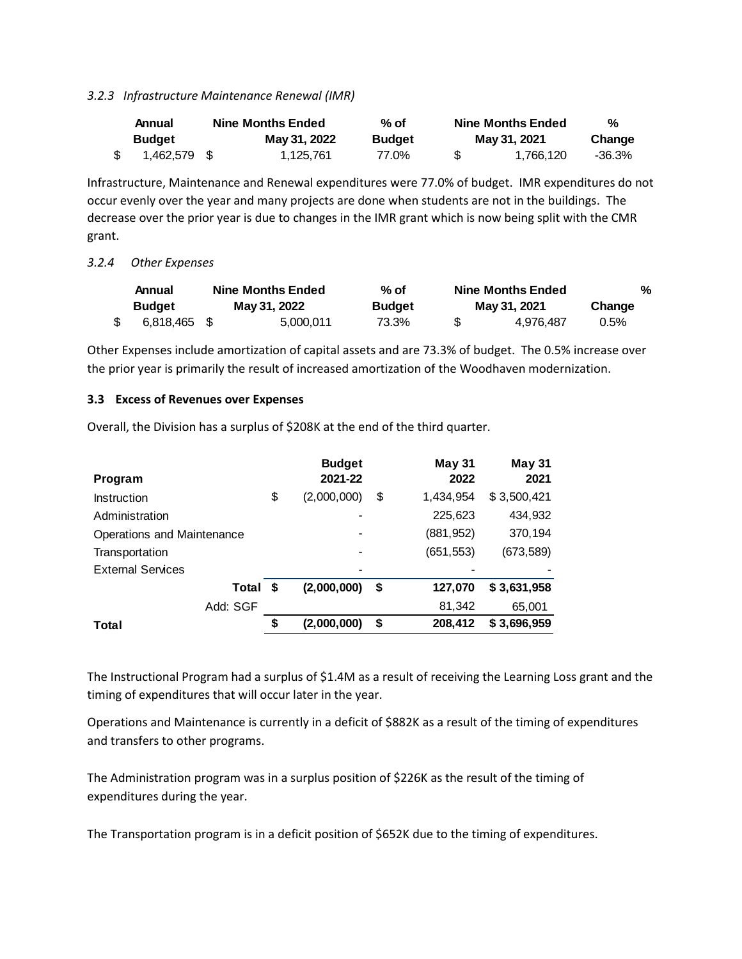*3.2.3 Infrastructure Maintenance Renewal (IMR)*

| Annual        | <b>Nine Months Ended</b> | % of          |     | <b>Nine Months Ended</b> | %      |
|---------------|--------------------------|---------------|-----|--------------------------|--------|
| <b>Budget</b> | May 31, 2022             | <b>Budget</b> |     | May 31, 2021             | Change |
| 1,462,579 \$  | 1.125.761                | 77.0%         | -SS | 1.766.120                | -36.3% |

Infrastructure, Maintenance and Renewal expenditures were 77.0% of budget. IMR expenditures do not occur evenly over the year and many projects are done when students are not in the buildings. The decrease over the prior year is due to changes in the IMR grant which is now being split with the CMR grant.

### *3.2.4 Other Expenses*

|               | Annual       | <b>Nine Months Ended</b> |           | % of          | <b>Nine Months Ended</b> |           | %       |  |
|---------------|--------------|--------------------------|-----------|---------------|--------------------------|-----------|---------|--|
| <b>Budget</b> |              | May 31, 2022             |           | <b>Budget</b> | May 31, 2021             |           | Change  |  |
|               | 6.818.465 \$ |                          | 5.000.011 | 73.3%         | \$.                      | 4.976.487 | $0.5\%$ |  |

Other Expenses include amortization of capital assets and are 73.3% of budget. The 0.5% increase over the prior year is primarily the result of increased amortization of the Woodhaven modernization.

#### **3.3 Excess of Revenues over Expenses**

Overall, the Division has a surplus of \$208K at the end of the third quarter.

| Program                    |    | <b>Budget</b><br>2021-22 | <b>May 31</b><br>2022 | <b>May 31</b><br>2021 |
|----------------------------|----|--------------------------|-----------------------|-----------------------|
| Instruction                | \$ | (2,000,000)              | \$<br>1,434,954       | \$3,500,421           |
| Administration             |    |                          | 225,623               | 434,932               |
| Operations and Maintenance |    |                          | (881, 952)            | 370,194               |
| Transportation             |    |                          | (651, 553)            | (673, 589)            |
| <b>External Services</b>   |    |                          |                       |                       |
| Total                      | S  | (2,000,000)              | \$<br>127,070         | \$3,631,958           |
| Add: SGF                   |    |                          | 81,342                | 65,001                |
| Total                      | \$ | (2,000,000)              | \$<br>208,412         | \$3,696,959           |

The Instructional Program had a surplus of \$1.4M as a result of receiving the Learning Loss grant and the timing of expenditures that will occur later in the year.

Operations and Maintenance is currently in a deficit of \$882K as a result of the timing of expenditures and transfers to other programs.

The Administration program was in a surplus position of \$226K as the result of the timing of expenditures during the year.

The Transportation program is in a deficit position of \$652K due to the timing of expenditures.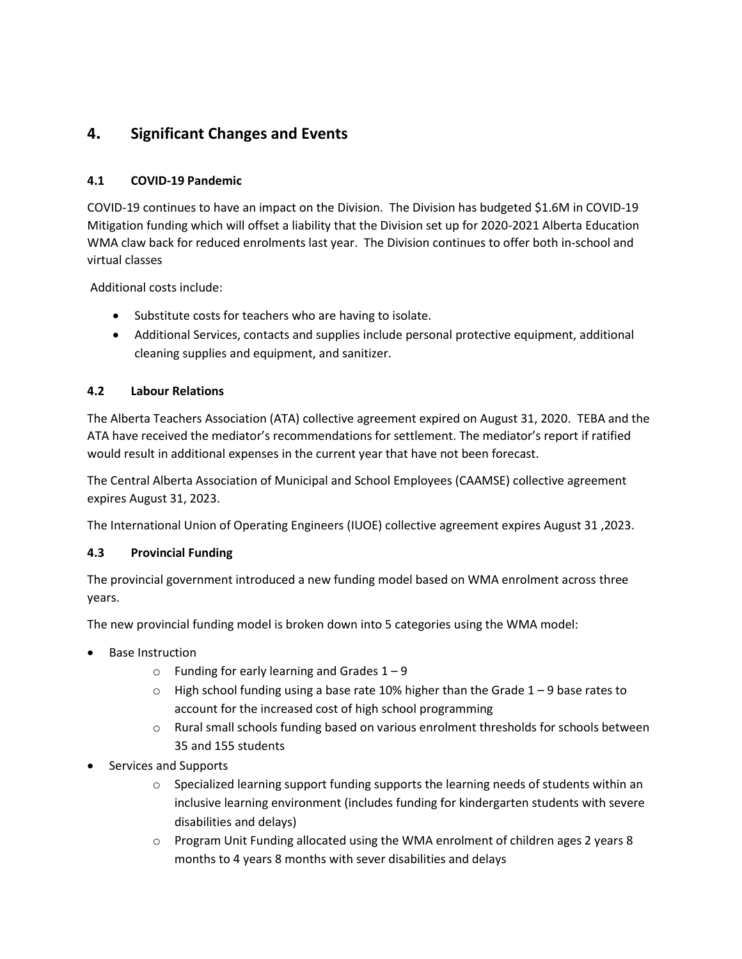## **4. Significant Changes and Events**

## **4.1 COVID-19 Pandemic**

COVID-19 continues to have an impact on the Division. The Division has budgeted \$1.6M in COVID-19 Mitigation funding which will offset a liability that the Division set up for 2020-2021 Alberta Education WMA claw back for reduced enrolments last year. The Division continues to offer both in-school and virtual classes

Additional costs include:

- Substitute costs for teachers who are having to isolate.
- Additional Services, contacts and supplies include personal protective equipment, additional cleaning supplies and equipment, and sanitizer.

## **4.2 Labour Relations**

The Alberta Teachers Association (ATA) collective agreement expired on August 31, 2020. TEBA and the ATA have received the mediator's recommendations for settlement. The mediator's report if ratified would result in additional expenses in the current year that have not been forecast.

The Central Alberta Association of Municipal and School Employees (CAAMSE) collective agreement expires August 31, 2023.

The International Union of Operating Engineers (IUOE) collective agreement expires August 31 ,2023.

## **4.3 Provincial Funding**

The provincial government introduced a new funding model based on WMA enrolment across three years.

The new provincial funding model is broken down into 5 categories using the WMA model:

- **Base Instruction** 
	- $\circ$  Funding for early learning and Grades 1 9
	- $\circ$  High school funding using a base rate 10% higher than the Grade 1 9 base rates to account for the increased cost of high school programming
	- o Rural small schools funding based on various enrolment thresholds for schools between 35 and 155 students
- Services and Supports
	- $\circ$  Specialized learning support funding supports the learning needs of students within an inclusive learning environment (includes funding for kindergarten students with severe disabilities and delays)
	- $\circ$  Program Unit Funding allocated using the WMA enrolment of children ages 2 years 8 months to 4 years 8 months with sever disabilities and delays